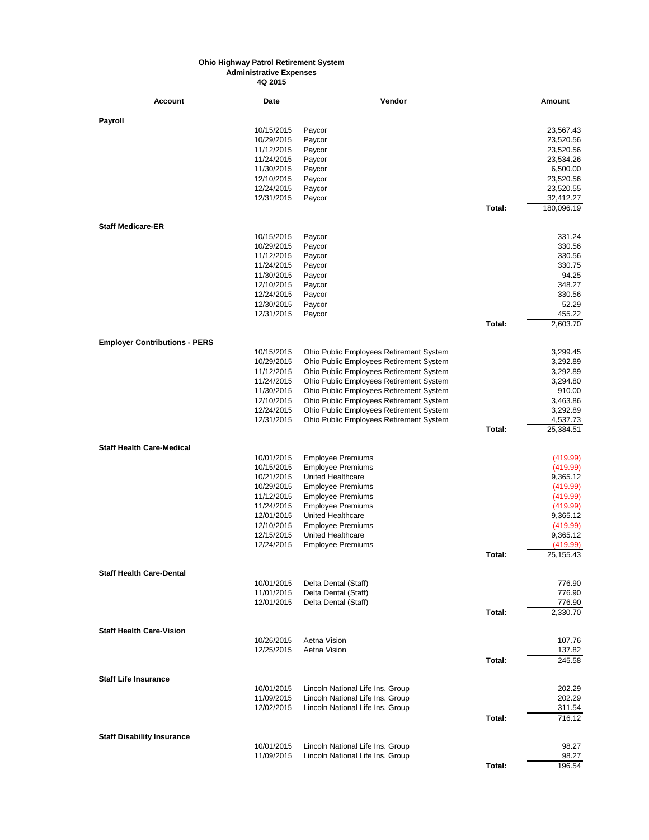**Account Date Vendor Amount Payroll** 10/15/2015 Paycor 23,567.43 10/29/2015 Paycor 23,520.56 11/12/2015 Paycor 23,520.56 11/24/2015 Paycor 23,534.26 11/30/2015 Paycor 6,500.00 12/10/2015 Paycor 23,520.56 12/24/2015 Paycor 23,520.55 12/31/2015 Paycor 32,412.27 **Total:** 180,096.19 **Staff Medicare-ER** 10/15/2015 Paycor 331.24 10/29/2015 Paycor 330.56 11/12/2015 Paycor 330.56 11/24/2015 Paycor 330.75 11/30/2015 Paycor 94.25 12/10/2015 Paycor 348.27 12/24/2015 Paycor 330.56 12/30/2015 Paycor 52.29 12/31/2015 Paycor 455.22 **Total:** 2,603.70 **Employer Contributions - PERS** 10/15/2015 Ohio Public Employees Retirement System 3,299.45 Ohio Public Employees Retirement System 11/12/2015 Ohio Public Employees Retirement System 3,292.89 11/24/2015 Ohio Public Employees Retirement System 3,294.80 11/30/2015 Ohio Public Employees Retirement System 910.00 12/10/2015 Ohio Public Employees Retirement System 3,463.86 12/24/2015 Ohio Public Employees Retirement System 3,292.89 Ohio Public Employees Retirement System<br>1012.13 **Total:** 25,384.51 **Staff Health Care-Medical** 10/01/2015 Employee Premiums (419.99) 10/15/2015 Employee Premiums (1999)<br>10/21/2015 United Healthcare (1999) 10/21/2015 (1999) 10/21/2015 10/21/2015 United Healthcare 9,365.12<br>10/29/2015 Employee Premiums 10/29/2015 (419.99) 10/29/2015 Employee Premiums (419.99) Employee Premiums 11/24/2015 Employee Premiums (419.99)<br>12/01/2015 United Healthcare (1999) 12/01/2015 (1999) 12/01/2015 United Healthcare 12/10/2015 Employee Premiums (419.99)<br>12/15/2015 United Healthcare (1999) 12/15/2015 (1999) 12/15/2015 (1999) 12/15/2015 United Healthcare 9,365.12<br>12/24/2015 Employee Premiums 9,365.12 Employee Premiums **Total:** 25,155.43 **Staff Health Care-Dental** 10/01/2015 Delta Dental (Staff) 776.90 11/01/2015 Delta Dental (Staff) 776.90 Delta Dental (Staff) **Total:** 2,330.70 **Staff Health Care-Vision** 10/26/2015 Aetna Vision 107.76 Aetna Vision **Total:** 245.58 **Staff Life Insurance** 10/01/2015 Lincoln National Life Ins. Group 202.29 Lincoln National Life Ins. Group 12/02/2015 Lincoln National Life Ins. Group 311.54 **Total:** 716.12 **Staff Disability Insurance** 10/01/2015 Lincoln National Life Ins. Group 98.27 11/09/2015 Lincoln National Life Ins. Group Subsetted and the State 100 98.27 **Total:** 196.54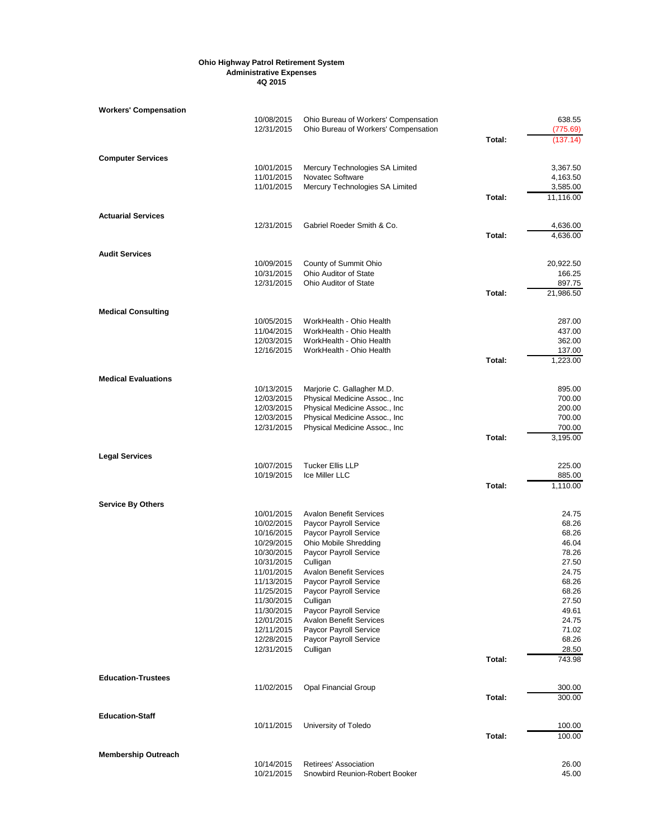| Workers' Compensation      |                          |                                                                 |        |                    |
|----------------------------|--------------------------|-----------------------------------------------------------------|--------|--------------------|
|                            | 10/08/2015               | Ohio Bureau of Workers' Compensation                            |        | 638.55             |
|                            | 12/31/2015               | Ohio Bureau of Workers' Compensation                            |        | (775.69)           |
|                            |                          |                                                                 | Total: | (137.14)           |
| <b>Computer Services</b>   |                          |                                                                 |        |                    |
|                            | 10/01/2015               | Mercury Technologies SA Limited                                 |        | 3,367.50           |
|                            | 11/01/2015               | Novatec Software                                                |        | 4,163.50           |
|                            | 11/01/2015               | Mercury Technologies SA Limited                                 |        | 3,585.00           |
|                            |                          |                                                                 | Total: | 11,116.00          |
| <b>Actuarial Services</b>  |                          |                                                                 |        |                    |
|                            | 12/31/2015               | Gabriel Roeder Smith & Co.                                      |        | 4,636.00           |
|                            |                          |                                                                 | Total: | 4,636.00           |
| <b>Audit Services</b>      |                          |                                                                 |        |                    |
|                            | 10/09/2015               | County of Summit Ohio                                           |        | 20,922.50          |
|                            | 10/31/2015               | Ohio Auditor of State                                           |        | 166.25             |
|                            | 12/31/2015               | Ohio Auditor of State                                           |        | 897.75             |
|                            |                          |                                                                 | Total: | 21,986.50          |
| <b>Medical Consulting</b>  |                          |                                                                 |        |                    |
|                            | 10/05/2015               | WorkHealth - Ohio Health                                        |        | 287.00             |
|                            | 11/04/2015               | WorkHealth - Ohio Health                                        |        | 437.00             |
|                            | 12/03/2015               | WorkHealth - Ohio Health                                        |        | 362.00             |
|                            | 12/16/2015               | WorkHealth - Ohio Health                                        |        | 137.00             |
|                            |                          |                                                                 | Total: | 1,223.00           |
| <b>Medical Evaluations</b> |                          |                                                                 |        |                    |
|                            | 10/13/2015               | Marjorie C. Gallagher M.D.                                      |        | 895.00             |
|                            | 12/03/2015               | Physical Medicine Assoc., Inc                                   |        | 700.00             |
|                            | 12/03/2015               | Physical Medicine Assoc., Inc.                                  |        | 200.00             |
|                            | 12/03/2015               | Physical Medicine Assoc., Inc.                                  |        | 700.00             |
|                            | 12/31/2015               | Physical Medicine Assoc., Inc.                                  | Total: | 700.00<br>3,195.00 |
|                            |                          |                                                                 |        |                    |
| <b>Legal Services</b>      |                          |                                                                 |        |                    |
|                            | 10/07/2015<br>10/19/2015 | <b>Tucker Ellis LLP</b><br>Ice Miller LLC                       |        | 225.00<br>885.00   |
|                            |                          |                                                                 | Total: | 1,110.00           |
|                            |                          |                                                                 |        |                    |
| <b>Service By Others</b>   |                          |                                                                 |        |                    |
|                            | 10/01/2015<br>10/02/2015 | <b>Avalon Benefit Services</b><br><b>Paycor Payroll Service</b> |        | 24.75<br>68.26     |
|                            | 10/16/2015               | Paycor Payroll Service                                          |        | 68.26              |
|                            | 10/29/2015               | Ohio Mobile Shredding                                           |        | 46.04              |
|                            | 10/30/2015               | Paycor Payroll Service                                          |        | 78.26              |
|                            | 10/31/2015               | Culligan                                                        |        | 27.50              |
|                            | 11/01/2015               | <b>Avalon Benefit Services</b>                                  |        | 24.75              |
|                            | 11/13/2015               | Paycor Payroll Service                                          |        | 68.26              |
|                            | 11/25/2015               | Paycor Payroll Service                                          |        | 68.26              |
|                            | 11/30/2015               | Culligan                                                        |        | 27.50              |
|                            | 11/30/2015               | Paycor Payroll Service                                          |        | 49.61              |
|                            | 12/01/2015               | <b>Avalon Benefit Services</b>                                  |        | 24.75              |
|                            | 12/11/2015               | Paycor Payroll Service                                          |        | 71.02              |
|                            | 12/28/2015<br>12/31/2015 | Paycor Payroll Service<br>Culligan                              |        | 68.26<br>28.50     |
|                            |                          |                                                                 | Total: | 743.98             |
|                            |                          |                                                                 |        |                    |
| <b>Education-Trustees</b>  | 11/02/2015               | <b>Opal Financial Group</b>                                     |        | 300.00             |
|                            |                          |                                                                 | Total: | 300.00             |
|                            |                          |                                                                 |        |                    |
| <b>Education-Staff</b>     | 10/11/2015               | University of Toledo                                            |        | 100.00             |
|                            |                          |                                                                 | Total: | 100.00             |
| <b>Membership Outreach</b> |                          |                                                                 |        |                    |
|                            | 10/14/2015               | Retirees' Association                                           |        | 26.00              |
|                            | 10/21/2015               | Snowbird Reunion-Robert Booker                                  |        | 45.00              |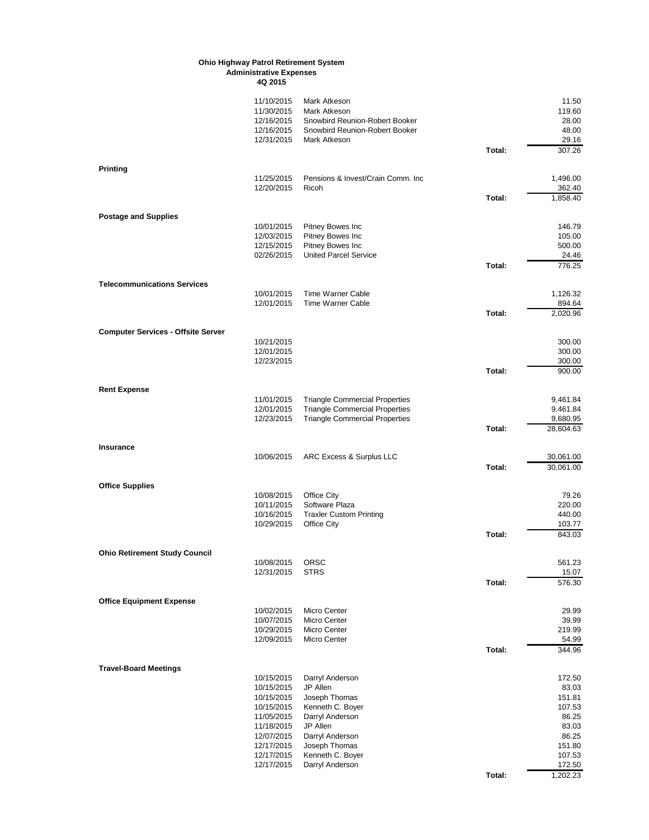**4Q 2015**

|                                           | 11/10/2015 | Mark Atkeson                          |        | 11.50     |
|-------------------------------------------|------------|---------------------------------------|--------|-----------|
|                                           | 11/30/2015 | Mark Atkeson                          |        | 119.60    |
|                                           | 12/16/2015 | Snowbird Reunion-Robert Booker        |        | 28.00     |
|                                           | 12/16/2015 | Snowbird Reunion-Robert Booker        |        | 48.00     |
|                                           | 12/31/2015 | Mark Atkeson                          |        | 29.16     |
|                                           |            |                                       | Total: | 307.26    |
|                                           |            |                                       |        |           |
| <b>Printing</b>                           |            |                                       |        |           |
|                                           | 11/25/2015 | Pensions & Invest/Crain Comm. Inc.    |        | 1,496.00  |
|                                           | 12/20/2015 | Ricoh                                 |        | 362.40    |
|                                           |            |                                       | Total: | 1,858.40  |
| <b>Postage and Supplies</b>               |            |                                       |        |           |
|                                           | 10/01/2015 | Pitney Bowes Inc                      |        | 146.79    |
|                                           | 12/03/2015 | Pitney Bowes Inc                      |        | 105.00    |
|                                           | 12/15/2015 | Pitney Bowes Inc                      |        | 500.00    |
|                                           | 02/26/2015 | <b>United Parcel Service</b>          |        | 24.46     |
|                                           |            |                                       | Total: | 776.25    |
| <b>Telecommunications Services</b>        |            |                                       |        |           |
|                                           | 10/01/2015 | <b>Time Warner Cable</b>              |        | 1,126.32  |
|                                           | 12/01/2015 | <b>Time Warner Cable</b>              |        | 894.64    |
|                                           |            |                                       | Total: | 2,020.96  |
| <b>Computer Services - Offsite Server</b> |            |                                       |        |           |
|                                           | 10/21/2015 |                                       |        | 300.00    |
|                                           | 12/01/2015 |                                       |        | 300.00    |
|                                           | 12/23/2015 |                                       |        | 300.00    |
|                                           |            |                                       | Total: | 900.00    |
|                                           |            |                                       |        |           |
| <b>Rent Expense</b>                       | 11/01/2015 | <b>Triangle Commercial Properties</b> |        | 9,461.84  |
|                                           | 12/01/2015 | <b>Triangle Commercial Properties</b> |        | 9,461.84  |
|                                           | 12/23/2015 | <b>Triangle Commercial Properties</b> |        | 9,680.95  |
|                                           |            |                                       | Total: | 28,604.63 |
|                                           |            |                                       |        |           |
| Insurance                                 |            |                                       |        |           |
|                                           | 10/06/2015 | ARC Excess & Surplus LLC              |        | 30,061.00 |
|                                           |            |                                       | Total: | 30,061.00 |
| <b>Office Supplies</b>                    |            |                                       |        |           |
|                                           | 10/08/2015 | Office City                           |        | 79.26     |
|                                           | 10/11/2015 | Software Plaza                        |        | 220.00    |
|                                           | 10/16/2015 | <b>Traxler Custom Printing</b>        |        | 440.00    |
|                                           | 10/29/2015 | Office City                           |        | 103.77    |
|                                           |            |                                       | Total: | 843.03    |
| <b>Ohio Retirement Study Council</b>      |            |                                       |        |           |
|                                           | 10/08/2015 | <b>ORSC</b>                           |        | 561.23    |
|                                           | 12/31/2015 | <b>STRS</b>                           |        | 15.07     |
|                                           |            |                                       | Total: | 576.30    |
|                                           |            |                                       |        |           |
| <b>Office Equipment Expense</b>           | 10/02/2015 | <b>Micro Center</b>                   |        | 29.99     |
|                                           | 10/07/2015 | Micro Center                          |        | 39.99     |
|                                           | 10/29/2015 | Micro Center                          |        | 219.99    |
|                                           | 12/09/2015 | Micro Center                          |        | 54.99     |
|                                           |            |                                       | Total: | 344.96    |
|                                           |            |                                       |        |           |
| <b>Travel-Board Meetings</b>              | 10/15/2015 | Darryl Anderson                       |        | 172.50    |
|                                           | 10/15/2015 | JP Allen                              |        | 83.03     |
|                                           | 10/15/2015 | Joseph Thomas                         |        | 151.81    |
|                                           | 10/15/2015 | Kenneth C. Boyer                      |        | 107.53    |
|                                           | 11/05/2015 | Darryl Anderson                       |        | 86.25     |
|                                           | 11/18/2015 | JP Allen                              |        | 83.03     |
|                                           | 12/07/2015 | Darryl Anderson                       |        | 86.25     |
|                                           | 12/17/2015 | Joseph Thomas                         |        | 151.80    |
|                                           | 12/17/2015 | Kenneth C. Boyer                      |        | 107.53    |
|                                           | 12/17/2015 | Darryl Anderson                       |        | 172.50    |
|                                           |            |                                       | Total: | 1,202.23  |
|                                           |            |                                       |        |           |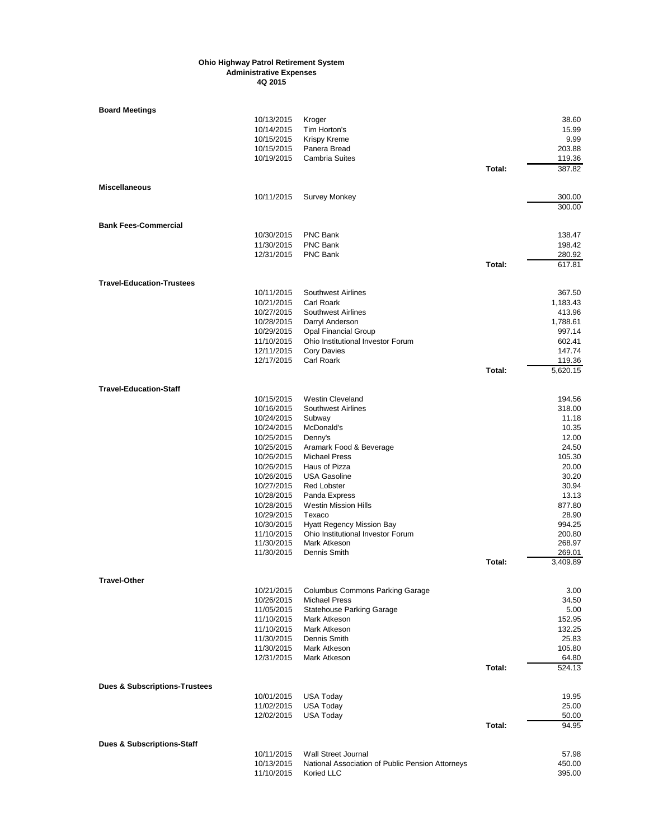| <b>Board Meetings</b>                    |            |                                                  |        |          |
|------------------------------------------|------------|--------------------------------------------------|--------|----------|
|                                          | 10/13/2015 | Kroger                                           |        | 38.60    |
|                                          | 10/14/2015 | Tim Horton's                                     |        | 15.99    |
|                                          | 10/15/2015 | <b>Krispy Kreme</b>                              |        | 9.99     |
|                                          | 10/15/2015 | Panera Bread                                     |        | 203.88   |
|                                          | 10/19/2015 | <b>Cambria Suites</b>                            |        | 119.36   |
|                                          |            |                                                  | Total: | 387.82   |
|                                          |            |                                                  |        |          |
| <b>Miscellaneous</b>                     |            |                                                  |        |          |
|                                          | 10/11/2015 | <b>Survey Monkey</b>                             |        | 300.00   |
|                                          |            |                                                  |        | 300.00   |
|                                          |            |                                                  |        |          |
| <b>Bank Fees-Commercial</b>              |            |                                                  |        |          |
|                                          | 10/30/2015 | PNC Bank                                         |        | 138.47   |
|                                          | 11/30/2015 | PNC Bank                                         |        | 198.42   |
|                                          | 12/31/2015 | <b>PNC Bank</b>                                  |        | 280.92   |
|                                          |            |                                                  | Total: | 617.81   |
|                                          |            |                                                  |        |          |
| <b>Travel-Education-Trustees</b>         |            |                                                  |        |          |
|                                          | 10/11/2015 | <b>Southwest Airlines</b>                        |        | 367.50   |
|                                          | 10/21/2015 | Carl Roark                                       |        | 1,183.43 |
|                                          | 10/27/2015 | <b>Southwest Airlines</b>                        |        | 413.96   |
|                                          | 10/28/2015 | Darryl Anderson                                  |        | 1,788.61 |
|                                          | 10/29/2015 | <b>Opal Financial Group</b>                      |        | 997.14   |
|                                          | 11/10/2015 | Ohio Institutional Investor Forum                |        | 602.41   |
|                                          | 12/11/2015 | <b>Cory Davies</b>                               |        | 147.74   |
|                                          | 12/17/2015 | Carl Roark                                       |        | 119.36   |
|                                          |            |                                                  | Total: | 5,620.15 |
|                                          |            |                                                  |        |          |
| <b>Travel-Education-Staff</b>            |            |                                                  |        |          |
|                                          | 10/15/2015 | <b>Westin Cleveland</b>                          |        | 194.56   |
|                                          | 10/16/2015 | <b>Southwest Airlines</b>                        |        | 318.00   |
|                                          | 10/24/2015 | Subway                                           |        | 11.18    |
|                                          |            |                                                  |        | 10.35    |
|                                          | 10/24/2015 | McDonald's                                       |        |          |
|                                          | 10/25/2015 | Denny's                                          |        | 12.00    |
|                                          | 10/25/2015 | Aramark Food & Beverage                          |        | 24.50    |
|                                          | 10/26/2015 | <b>Michael Press</b>                             |        | 105.30   |
|                                          | 10/26/2015 | Haus of Pizza                                    |        | 20.00    |
|                                          | 10/26/2015 | <b>USA Gasoline</b>                              |        | 30.20    |
|                                          | 10/27/2015 | <b>Red Lobster</b>                               |        | 30.94    |
|                                          | 10/28/2015 | Panda Express                                    |        | 13.13    |
|                                          | 10/28/2015 | <b>Westin Mission Hills</b>                      |        | 877.80   |
|                                          | 10/29/2015 | Texaco                                           |        | 28.90    |
|                                          | 10/30/2015 | <b>Hyatt Regency Mission Bay</b>                 |        | 994.25   |
|                                          | 11/10/2015 | Ohio Institutional Investor Forum                |        | 200.80   |
|                                          | 11/30/2015 | Mark Atkeson                                     |        | 268.97   |
|                                          | 11/30/2015 | Dennis Smith                                     |        | 269.01   |
|                                          |            |                                                  | Total: | 3.409.89 |
|                                          |            |                                                  |        |          |
| Travel-Other                             |            |                                                  |        |          |
|                                          | 10/21/2015 | <b>Columbus Commons Parking Garage</b>           |        | 3.00     |
|                                          | 10/26/2015 | <b>Michael Press</b>                             |        | 34.50    |
|                                          | 11/05/2015 | <b>Statehouse Parking Garage</b>                 |        | 5.00     |
|                                          | 11/10/2015 | Mark Atkeson                                     |        | 152.95   |
|                                          | 11/10/2015 | Mark Atkeson                                     |        | 132.25   |
|                                          | 11/30/2015 | Dennis Smith                                     |        | 25.83    |
|                                          | 11/30/2015 | Mark Atkeson                                     |        | 105.80   |
|                                          | 12/31/2015 | Mark Atkeson                                     |        | 64.80    |
|                                          |            |                                                  | Total: | 524.13   |
|                                          |            |                                                  |        |          |
| <b>Dues &amp; Subscriptions-Trustees</b> |            |                                                  |        |          |
|                                          | 10/01/2015 | <b>USA Today</b>                                 |        | 19.95    |
|                                          | 11/02/2015 | <b>USA Today</b>                                 |        | 25.00    |
|                                          | 12/02/2015 | <b>USA Today</b>                                 |        | 50.00    |
|                                          |            |                                                  | Total: | 94.95    |
|                                          |            |                                                  |        |          |
| <b>Dues &amp; Subscriptions-Staff</b>    |            |                                                  |        |          |
|                                          | 10/11/2015 | <b>Wall Street Journal</b>                       |        | 57.98    |
|                                          | 10/13/2015 | National Association of Public Pension Attorneys |        | 450.00   |
|                                          | 11/10/2015 | Koried LLC                                       |        | 395.00   |